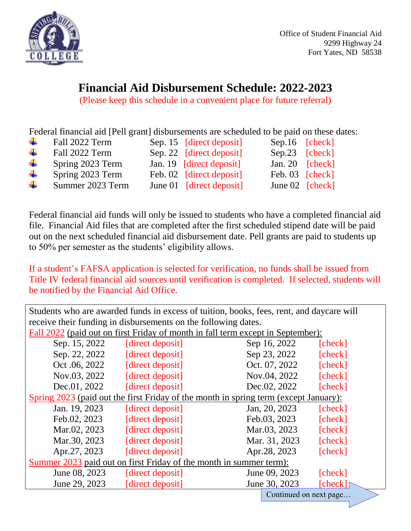

## **Financial Aid Disbursement Schedule: 2022-2023**

(Please keep this schedule in a convenient place for future referral)

Federal financial aid [Pell grant] disbursements are scheduled to be paid on these dates:

| ч. | Fall 2022 Term   | Sep. 15 [direct deposit] | Sep.16 [check]    |  |
|----|------------------|--------------------------|-------------------|--|
| ÷  | Fall 2022 Term   | Sep. 22 [direct deposit] | Sep.23 [check]    |  |
| ۰. | Spring 2023 Term | Jan. 19 [direct deposit] | Jan. 20 $[check]$ |  |
| ۰. | Spring 2023 Term | Feb. 02 [direct deposit] | Feb. 03 [check]   |  |
| ₩. | Summer 2023 Term | June 01 [direct deposit] | June $02$ [check] |  |

Federal financial aid funds will only be issued to students who have a completed financial aid file. Financial Aid files that are completed after the first scheduled stipend date will be paid out on the next scheduled financial aid disbursement date. Pell grants are paid to students up to 50% per semester as the students' eligibility allows.

If a student's FAFSA application is selected for verification, no funds shall be issued from Title IV federal financial aid sources until verification is completed. If selected, students will be notified by the Financial Aid Office.

| Students who are awarded funds in excess of tuition, books, fees, rent, and daycare will |                        |                          |  |  |  |  |  |
|------------------------------------------------------------------------------------------|------------------------|--------------------------|--|--|--|--|--|
| receive their funding in disbursements on the following dates.                           |                        |                          |  |  |  |  |  |
| Fall 2022 (paid out on first Friday of month in fall term except in September):          |                        |                          |  |  |  |  |  |
| Sep. 15, 2022                                                                            | [direct deposit]       | Sep 16, 2022<br>[check]  |  |  |  |  |  |
| Sep. 22, 2022                                                                            | [direct deposit]       | Sep 23, 2022<br>[check]  |  |  |  |  |  |
| Oct .06, 2022                                                                            | [direct deposit]       | Oct. 07, 2022<br>[check] |  |  |  |  |  |
| Nov.03, 2022                                                                             | [direct deposit]       | Nov.04, 2022<br>[check]  |  |  |  |  |  |
| Dec.01, 2022                                                                             | [direct deposit]       | Dec.02, 2022<br>[check]  |  |  |  |  |  |
| Spring 2023 (paid out the first Friday of the month in spring term (except January):     |                        |                          |  |  |  |  |  |
| Jan. 19, 2023                                                                            | [direct deposit]       | Jan, 20, 2023<br>[check] |  |  |  |  |  |
| Feb.02, 2023                                                                             | [direct deposit]       | Feb.03, 2023<br>[check]  |  |  |  |  |  |
| Mar.02, 2023                                                                             | [direct deposit]       | Mar.03, 2023<br>[check]  |  |  |  |  |  |
| Mar.30, 2023                                                                             | [direct deposit]       | Mar. 31, 2023<br>[check] |  |  |  |  |  |
| Apr.27, 2023                                                                             | [direct deposit]       | Apr.28, 2023<br>[check]  |  |  |  |  |  |
| Summer 2023 paid out on first Friday of the month in summer term):                       |                        |                          |  |  |  |  |  |
| June 08, 2023                                                                            | [direct deposit]       | June 09, 2023<br>[check] |  |  |  |  |  |
| June 29, 2023                                                                            | [direct deposit]       | June 30, 2023<br>[check] |  |  |  |  |  |
|                                                                                          | Continued on next page |                          |  |  |  |  |  |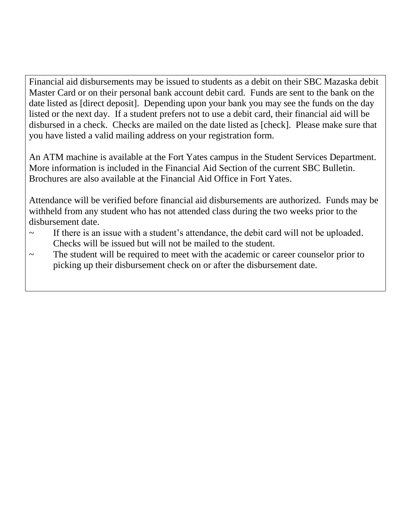Financial aid disbursements may be issued to students as a debit on their SBC Mazaska debit Master Card or on their personal bank account debit card. Funds are sent to the bank on the date listed as [direct deposit]. Depending upon your bank you may see the funds on the day listed or the next day. If a student prefers not to use a debit card, their financial aid will be disbursed in a check. Checks are mailed on the date listed as [check]. Please make sure that you have listed a valid mailing address on your registration form.

An ATM machine is available at the Fort Yates campus in the Student Services Department. More information is included in the Financial Aid Section of the current SBC Bulletin. Brochures are also available at the Financial Aid Office in Fort Yates.

Attendance will be verified before financial aid disbursements are authorized. Funds may be withheld from any student who has not attended class during the two weeks prior to the disbursement date.

- ~ If there is an issue with a student's attendance, the debit card will not be uploaded. Checks will be issued but will not be mailed to the student.
- ~ The student will be required to meet with the academic or career counselor prior to picking up their disbursement check on or after the disbursement date.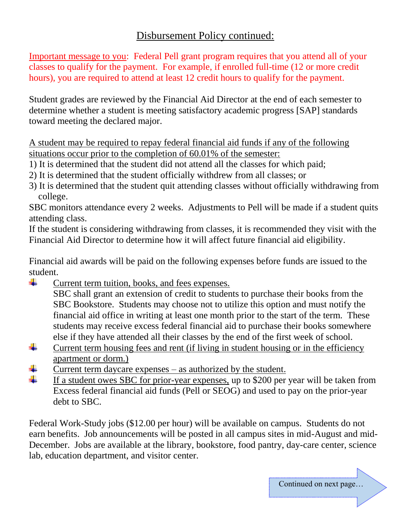## Disbursement Policy continued:

Important message to you: Federal Pell grant program requires that you attend all of your classes to qualify for the payment.For example, if enrolled full-time (12 or more credit hours), you are required to attend at least 12 credit hours to qualify for the payment.

Student grades are reviewed by the Financial Aid Director at the end of each semester to determine whether a student is meeting satisfactory academic progress [SAP] standards toward meeting the declared major.

A student may be required to repay federal financial aid funds if any of the following situations occur prior to the completion of 60.01% of the semester:

- 1) It is determined that the student did not attend all the classes for which paid;
- 2) It is determined that the student officially withdrew from all classes; or
- 3) It is determined that the student quit attending classes without officially withdrawing from college.

SBC monitors attendance every 2 weeks. Adjustments to Pell will be made if a student quits attending class.

If the student is considering withdrawing from classes, it is recommended they visit with the Financial Aid Director to determine how it will affect future financial aid eligibility.

Financial aid awards will be paid on the following expenses before funds are issued to the student.

÷. Current term tuition, books, and fees expenses.

SBC shall grant an extension of credit to students to purchase their books from the SBC Bookstore. Students may choose not to utilize this option and must notify the financial aid office in writing at least one month prior to the start of the term. These students may receive excess federal financial aid to purchase their books somewhere else if they have attended all their classes by the end of the first week of school.

- ÷ Current term housing fees and rent (if living in student housing or in the efficiency apartment or dorm.)
- Current term daycare expenses as authorized by the student.
- ÷ If a student owes SBC for prior-year expenses, up to \$200 per year will be taken from Excess federal financial aid funds (Pell or SEOG) and used to pay on the prior-year debt to SBC.

Federal Work-Study jobs (\$12.00 per hour) will be available on campus. Students do not earn benefits. Job announcements will be posted in all campus sites in mid-August and mid-December. Jobs are available at the library, bookstore, food pantry, day-care center, science lab, education department, and visitor center.